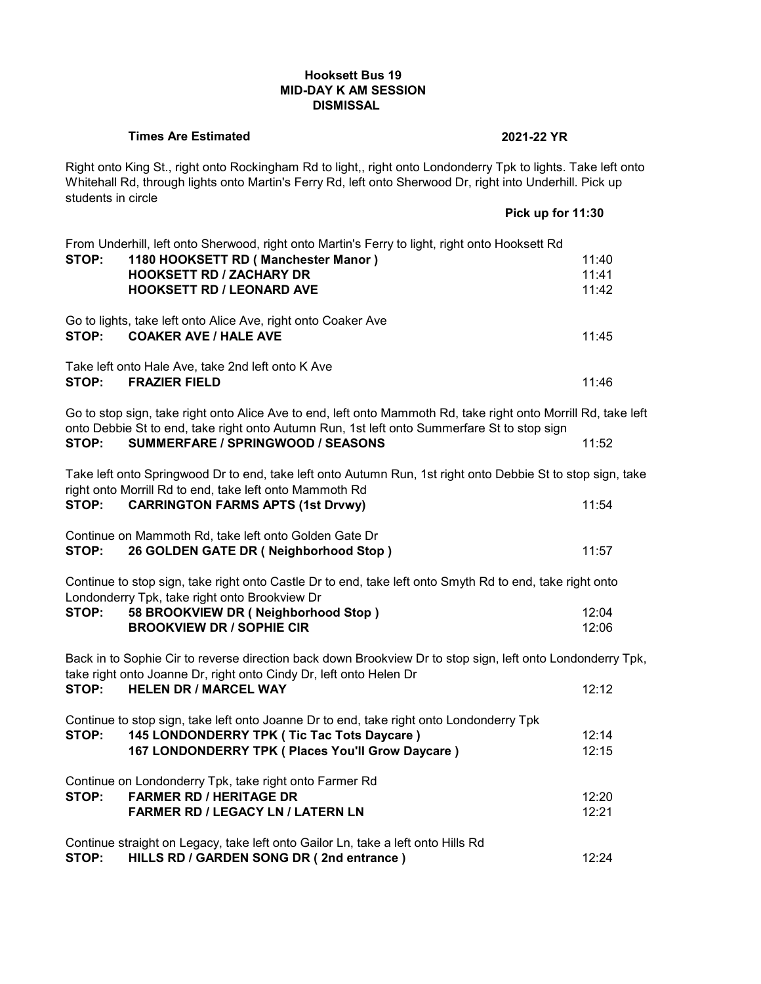# **Hooksett Bus 19 MID-DAY K AM SESSION DISMISSAL**

#### **Times Are Estimated 2021-22 YR**

Right onto King St., right onto Rockingham Rd to light,, right onto Londonderry Tpk to lights. Take left onto Whitehall Rd, through lights onto Martin's Ferry Rd, left onto Sherwood Dr, right into Underhill. Pick up students in circle **Pick up for 11:30**

|       |                                                                                                                                                                                                               | <b>FILA UP IUI 11.30</b> |  |
|-------|---------------------------------------------------------------------------------------------------------------------------------------------------------------------------------------------------------------|--------------------------|--|
| STOP: | From Underhill, left onto Sherwood, right onto Martin's Ferry to light, right onto Hooksett Rd<br>1180 HOOKSETT RD (Manchester Manor)                                                                         | 11:40                    |  |
|       | <b>HOOKSETT RD / ZACHARY DR</b>                                                                                                                                                                               | 11:41                    |  |
|       | <b>HOOKSETT RD / LEONARD AVE</b>                                                                                                                                                                              | 11:42                    |  |
|       |                                                                                                                                                                                                               |                          |  |
| STOP: | Go to lights, take left onto Alice Ave, right onto Coaker Ave<br><b>COAKER AVE / HALE AVE</b>                                                                                                                 | 11:45                    |  |
| STOP: | Take left onto Hale Ave, take 2nd left onto K Ave<br><b>FRAZIER FIELD</b>                                                                                                                                     | 11:46                    |  |
|       | Go to stop sign, take right onto Alice Ave to end, left onto Mammoth Rd, take right onto Morrill Rd, take left<br>onto Debbie St to end, take right onto Autumn Run, 1st left onto Summerfare St to stop sign |                          |  |
| STOP: | SUMMERFARE / SPRINGWOOD / SEASONS                                                                                                                                                                             | 11:52                    |  |
|       | Take left onto Springwood Dr to end, take left onto Autumn Run, 1st right onto Debbie St to stop sign, take<br>right onto Morrill Rd to end, take left onto Mammoth Rd                                        |                          |  |
| STOP: | <b>CARRINGTON FARMS APTS (1st Drvwy)</b>                                                                                                                                                                      | 11:54                    |  |
|       | Continue on Mammoth Rd, take left onto Golden Gate Dr                                                                                                                                                         |                          |  |
| STOP: | 26 GOLDEN GATE DR (Neighborhood Stop)                                                                                                                                                                         | 11:57                    |  |
|       | Continue to stop sign, take right onto Castle Dr to end, take left onto Smyth Rd to end, take right onto<br>Londonderry Tpk, take right onto Brookview Dr                                                     |                          |  |
| STOP: | 58 BROOKVIEW DR (Neighborhood Stop)                                                                                                                                                                           | 12:04                    |  |
|       | <b>BROOKVIEW DR / SOPHIE CIR</b>                                                                                                                                                                              | 12:06                    |  |
|       | Back in to Sophie Cir to reverse direction back down Brookview Dr to stop sign, left onto Londonderry Tpk,                                                                                                    |                          |  |
| STOP: | take right onto Joanne Dr, right onto Cindy Dr, left onto Helen Dr<br><b>HELEN DR / MARCEL WAY</b>                                                                                                            | 12:12                    |  |
|       | Continue to stop sign, take left onto Joanne Dr to end, take right onto Londonderry Tpk                                                                                                                       |                          |  |
| STOP: | 145 LONDONDERRY TPK ( Tic Tac Tots Daycare )                                                                                                                                                                  | 12:14                    |  |
|       | 167 LONDONDERRY TPK ( Places You'll Grow Daycare )                                                                                                                                                            | 12:15                    |  |
|       | Continue on Londonderry Tpk, take right onto Farmer Rd                                                                                                                                                        |                          |  |
| STOP: | <b>FARMER RD / HERITAGE DR</b>                                                                                                                                                                                | 12:20                    |  |
|       | <b>FARMER RD / LEGACY LN / LATERN LN</b>                                                                                                                                                                      | 12:21                    |  |
|       |                                                                                                                                                                                                               |                          |  |
|       | Continue straight on Legacy, take left onto Gailor Ln, take a left onto Hills Rd                                                                                                                              |                          |  |
| STOP: | HILLS RD / GARDEN SONG DR (2nd entrance)                                                                                                                                                                      | 12:24                    |  |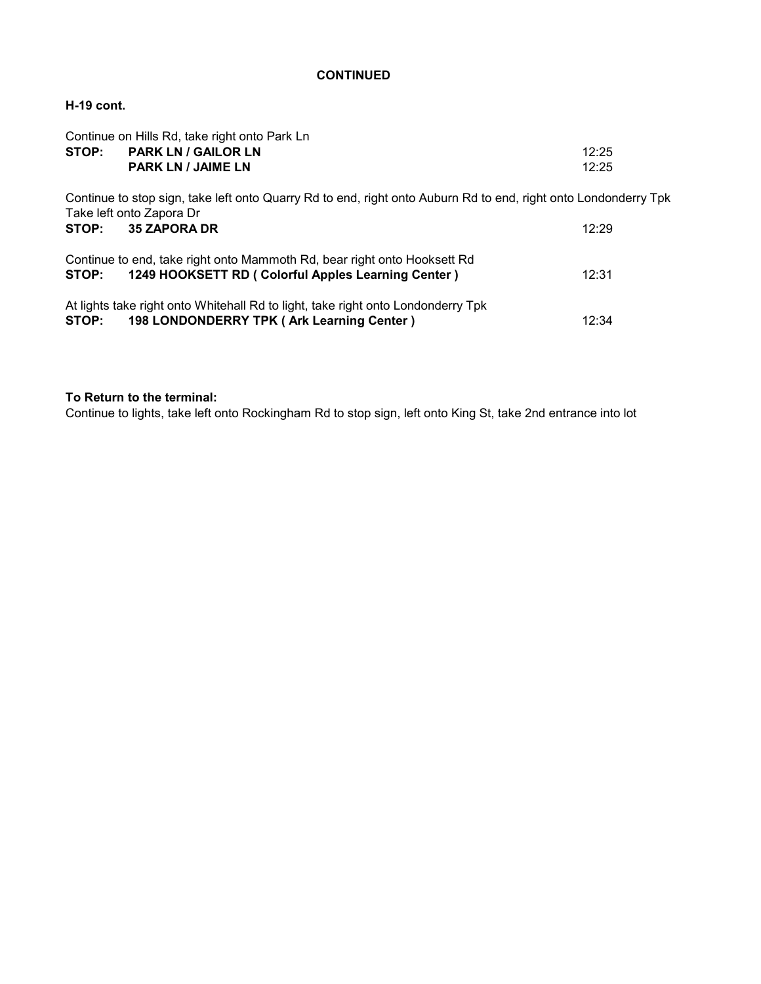# **H-19 cont.**

| Continue on Hills Rd, take right onto Park Ln |                                                                                                                 |       |  |  |
|-----------------------------------------------|-----------------------------------------------------------------------------------------------------------------|-------|--|--|
|                                               | STOP: PARK LN / GAILOR LN                                                                                       | 12:25 |  |  |
|                                               | <b>PARK LN / JAIME LN</b>                                                                                       | 12:25 |  |  |
| Take left onto Zapora Dr                      | Continue to stop sign, take left onto Quarry Rd to end, right onto Auburn Rd to end, right onto Londonderry Tpk |       |  |  |
| STOP:                                         | <b>35 ZAPORA DR</b>                                                                                             | 12:29 |  |  |
|                                               | Continue to end, take right onto Mammoth Rd, bear right onto Hooksett Rd                                        |       |  |  |
| STOP:                                         | 1249 HOOKSETT RD ( Colorful Apples Learning Center )                                                            | 12:31 |  |  |
|                                               | At lights take right onto Whitehall Rd to light, take right onto Londonderry Tpk                                |       |  |  |
| STOP:                                         | 198 LONDONDERRY TPK (Ark Learning Center)                                                                       | 12:34 |  |  |

## **To Return to the terminal:**

Continue to lights, take left onto Rockingham Rd to stop sign, left onto King St, take 2nd entrance into lot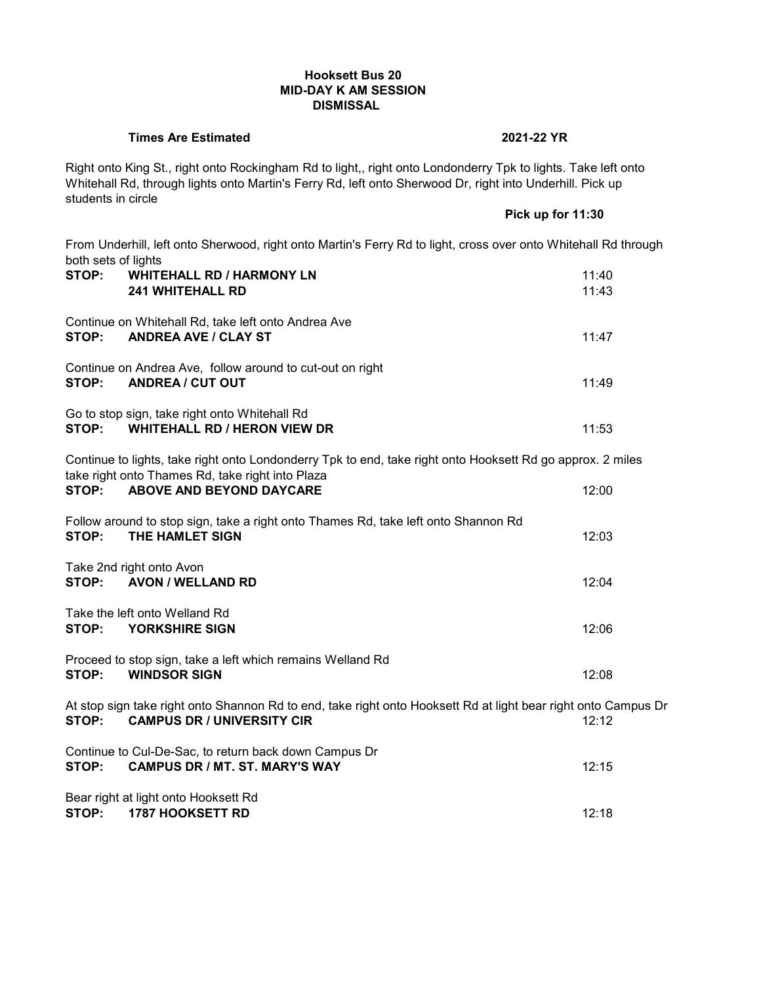## **Hooksett Bus 20 MID-DAY K AM SESSION DISMISSAL**

## **Times Are Estimated 2021-22 YR**

Right onto King St., right onto Rockingham Rd to light,, right onto Londonderry Tpk to lights. Take left onto Whitehall Rd, through lights onto Martin's Ferry Rd, left onto Sherwood Dr, right into Underhill. Pick up students in circle

**Pick up for 11:30**

From Underhill, left onto Sherwood, right onto Martin's Ferry Rd to light, cross over onto Whitehall Rd through both sets of lights

| STOP: | <b>WHITEHALL RD / HARMONY LN</b><br><b>241 WHITEHALL RD</b>                                                                                         | 11:40<br>11:43 |
|-------|-----------------------------------------------------------------------------------------------------------------------------------------------------|----------------|
| STOP: | Continue on Whitehall Rd, take left onto Andrea Ave<br><b>ANDREA AVE / CLAY ST</b>                                                                  | 11:47          |
| STOP: | Continue on Andrea Ave, follow around to cut-out on right<br><b>ANDREA / CUT OUT</b>                                                                | 11:49          |
| STOP: | Go to stop sign, take right onto Whitehall Rd<br><b>WHITEHALL RD / HERON VIEW DR</b>                                                                | 11:53          |
|       | Continue to lights, take right onto Londonderry Tpk to end, take right onto Hooksett Rd go approx. 2 miles                                          |                |
| STOP: | take right onto Thames Rd, take right into Plaza<br><b>ABOVE AND BEYOND DAYCARE</b>                                                                 | 12:00          |
| STOP: | Follow around to stop sign, take a right onto Thames Rd, take left onto Shannon Rd<br>THE HAMLET SIGN                                               | 12:03          |
|       | Take 2nd right onto Avon<br>STOP: AVON / WELLAND RD                                                                                                 | 12:04          |
| STOP: | Take the left onto Welland Rd<br>YORKSHIRE SIGN                                                                                                     | 12:06          |
| STOP: | Proceed to stop sign, take a left which remains Welland Rd<br><b>WINDSOR SIGN</b>                                                                   | 12:08          |
| STOP: | At stop sign take right onto Shannon Rd to end, take right onto Hooksett Rd at light bear right onto Campus Di<br><b>CAMPUS DR / UNIVERSITY CIR</b> | 12:12          |
| STOP: | Continue to Cul-De-Sac, to return back down Campus Dr<br><b>CAMPUS DR / MT. ST. MARY'S WAY</b>                                                      | 12:15          |
| STOP: | Bear right at light onto Hooksett Rd<br><b>1787 HOOKSETT RD</b>                                                                                     | 12:18          |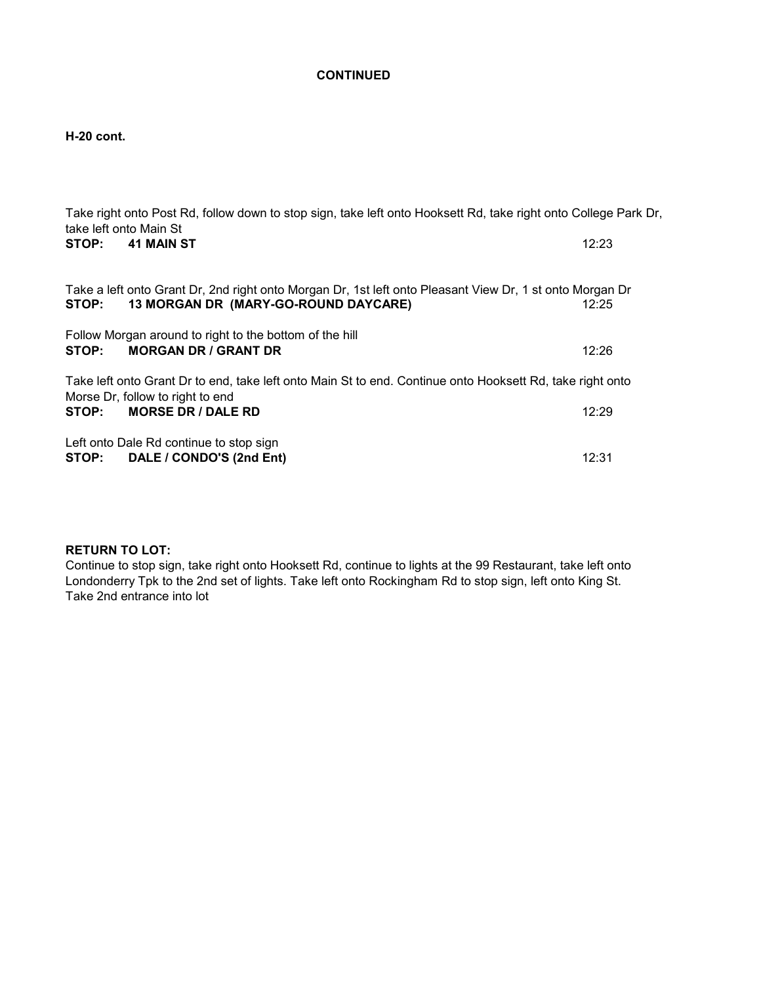# **H-20 cont.**

| take left onto Main St | Take right onto Post Rd, follow down to stop sign, take left onto Hooksett Rd, take right onto College Park Dr,                                  |       |
|------------------------|--------------------------------------------------------------------------------------------------------------------------------------------------|-------|
| STOP:                  | <b>41 MAIN ST</b>                                                                                                                                | 12:23 |
| STOP:                  | Take a left onto Grant Dr, 2nd right onto Morgan Dr, 1st left onto Pleasant View Dr, 1 st onto Morgan Dr<br>13 MORGAN DR (MARY-GO-ROUND DAYCARE) | 12:25 |
| STOP:                  | Follow Morgan around to right to the bottom of the hill<br><b>MORGAN DR / GRANT DR</b>                                                           | 12:26 |
|                        | Take left onto Grant Dr to end, take left onto Main St to end. Continue onto Hooksett Rd, take right onto<br>Morse Dr, follow to right to end    |       |
| STOP:                  | <b>MORSE DR / DALE RD</b>                                                                                                                        | 12:29 |
|                        | Left onto Dale Rd continue to stop sign<br>STOP: DALE / CONDO'S (2nd Ent)                                                                        | 12:31 |

# **RETURN TO LOT:**

Continue to stop sign, take right onto Hooksett Rd, continue to lights at the 99 Restaurant, take left onto Londonderry Tpk to the 2nd set of lights. Take left onto Rockingham Rd to stop sign, left onto King St. Take 2nd entrance into lot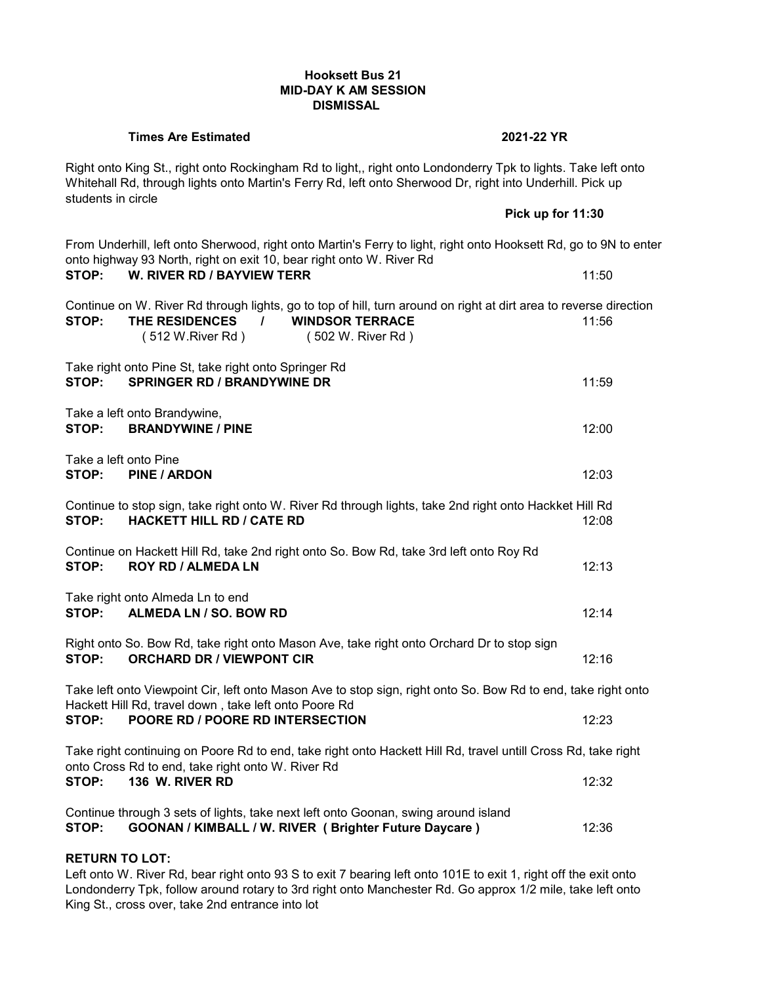## **Hooksett Bus 21 MID-DAY K AM SESSION DISMISSAL**

#### **Times Are Estimated 2021-22 YR**

Right onto King St., right onto Rockingham Rd to light,, right onto Londonderry Tpk to lights. Take left onto Whitehall Rd, through lights onto Martin's Ferry Rd, left onto Sherwood Dr, right into Underhill. Pick up students in circle **Pick up for 11:30**

|                                                                                                                                                                        | From Underhill, left onto Sherwood, right onto Martin's Ferry to light, right onto Hooksett Rd, go to 9N to enter<br>onto highway 93 North, right on exit 10, bear right onto W. River Rd                               |  |       |
|------------------------------------------------------------------------------------------------------------------------------------------------------------------------|-------------------------------------------------------------------------------------------------------------------------------------------------------------------------------------------------------------------------|--|-------|
| STOP:                                                                                                                                                                  | <b>W. RIVER RD / BAYVIEW TERR</b>                                                                                                                                                                                       |  | 11:50 |
| STOP:                                                                                                                                                                  | Continue on W. River Rd through lights, go to top of hill, turn around on right at dirt area to reverse direction<br><b>WINDSOR TERRACE</b><br>THE RESIDENCES<br>$\frac{1}{2}$<br>(512 W.River Rd)<br>(502 W. River Rd) |  | 11:56 |
| STOP:                                                                                                                                                                  | Take right onto Pine St, take right onto Springer Rd<br><b>SPRINGER RD / BRANDYWINE DR</b>                                                                                                                              |  | 11:59 |
| Take a left onto Brandywine,<br>STOP:                                                                                                                                  | <b>BRANDYWINE / PINE</b>                                                                                                                                                                                                |  | 12:00 |
| Take a left onto Pine<br>STOP:                                                                                                                                         | <b>PINE / ARDON</b>                                                                                                                                                                                                     |  | 12:03 |
| STOP:                                                                                                                                                                  | Continue to stop sign, take right onto W. River Rd through lights, take 2nd right onto Hackket Hill Rd<br><b>HACKETT HILL RD / CATE RD</b>                                                                              |  | 12:08 |
| STOP:                                                                                                                                                                  | Continue on Hackett Hill Rd, take 2nd right onto So. Bow Rd, take 3rd left onto Roy Rd<br><b>ROY RD / ALMEDA LN</b>                                                                                                     |  | 12:13 |
| STOP:                                                                                                                                                                  | Take right onto Almeda Ln to end<br>ALMEDA LN / SO. BOW RD                                                                                                                                                              |  | 12:14 |
| STOP:                                                                                                                                                                  | Right onto So. Bow Rd, take right onto Mason Ave, take right onto Orchard Dr to stop sign<br><b>ORCHARD DR / VIEWPONT CIR</b>                                                                                           |  | 12:16 |
| Take left onto Viewpoint Cir, left onto Mason Ave to stop sign, right onto So. Bow Rd to end, take right onto<br>Hackett Hill Rd, travel down, take left onto Poore Rd |                                                                                                                                                                                                                         |  |       |
| STOP:                                                                                                                                                                  | POORE RD / POORE RD INTERSECTION                                                                                                                                                                                        |  | 12:23 |
| Take right continuing on Poore Rd to end, take right onto Hackett Hill Rd, travel untill Cross Rd, take right<br>onto Cross Rd to end, take right onto W. River Rd     |                                                                                                                                                                                                                         |  |       |
| STOP:                                                                                                                                                                  | 136 W. RIVER RD                                                                                                                                                                                                         |  | 12:32 |
|                                                                                                                                                                        | Continue through 3 sets of lights, take next left onto Goonan, swing around island                                                                                                                                      |  |       |

**STOP: GOONAN / KIMBALL / W. RIVER ( Brighter Future Daycare )** 12:36

# **RETURN TO LOT:**

Left onto W. River Rd, bear right onto 93 S to exit 7 bearing left onto 101E to exit 1, right off the exit onto Londonderry Tpk, follow around rotary to 3rd right onto Manchester Rd. Go approx 1/2 mile, take left onto King St., cross over, take 2nd entrance into lot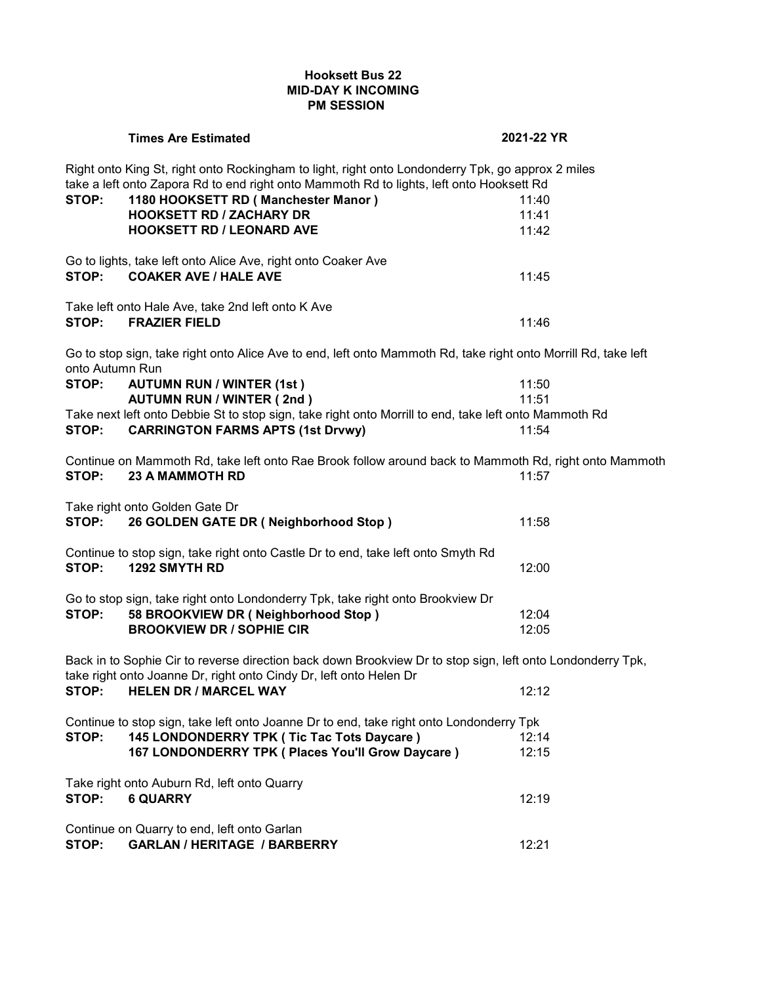# **Hooksett Bus 22 MID-DAY K INCOMING PM SESSION**

|                                                                                                                                                                                  | <b>Times Are Estimated</b>                                                                                                                                                                    | 2021-22 YR |  |  |
|----------------------------------------------------------------------------------------------------------------------------------------------------------------------------------|-----------------------------------------------------------------------------------------------------------------------------------------------------------------------------------------------|------------|--|--|
|                                                                                                                                                                                  | Right onto King St, right onto Rockingham to light, right onto Londonderry Tpk, go approx 2 miles<br>take a left onto Zapora Rd to end right onto Mammoth Rd to lights, left onto Hooksett Rd |            |  |  |
| STOP:                                                                                                                                                                            | 1180 HOOKSETT RD (Manchester Manor)                                                                                                                                                           | 11:40      |  |  |
|                                                                                                                                                                                  | <b>HOOKSETT RD / ZACHARY DR</b>                                                                                                                                                               | 11:41      |  |  |
|                                                                                                                                                                                  | <b>HOOKSETT RD / LEONARD AVE</b>                                                                                                                                                              | 11:42      |  |  |
| STOP:                                                                                                                                                                            | Go to lights, take left onto Alice Ave, right onto Coaker Ave<br><b>COAKER AVE / HALE AVE</b>                                                                                                 | 11:45      |  |  |
|                                                                                                                                                                                  |                                                                                                                                                                                               |            |  |  |
|                                                                                                                                                                                  | Take left onto Hale Ave, take 2nd left onto K Ave                                                                                                                                             |            |  |  |
| STOP:                                                                                                                                                                            | <b>FRAZIER FIELD</b>                                                                                                                                                                          | 11:46      |  |  |
| onto Autumn Run                                                                                                                                                                  | Go to stop sign, take right onto Alice Ave to end, left onto Mammoth Rd, take right onto Morrill Rd, take left                                                                                |            |  |  |
| STOP:                                                                                                                                                                            | <b>AUTUMN RUN / WINTER (1st)</b>                                                                                                                                                              | 11:50      |  |  |
|                                                                                                                                                                                  | <b>AUTUMN RUN / WINTER (2nd)</b>                                                                                                                                                              | 11:51      |  |  |
|                                                                                                                                                                                  | Take next left onto Debbie St to stop sign, take right onto Morrill to end, take left onto Mammoth Rd                                                                                         |            |  |  |
| STOP:                                                                                                                                                                            | <b>CARRINGTON FARMS APTS (1st Drvwy)</b>                                                                                                                                                      | 11:54      |  |  |
|                                                                                                                                                                                  | Continue on Mammoth Rd, take left onto Rae Brook follow around back to Mammoth Rd, right onto Mammoth                                                                                         |            |  |  |
| STOP:                                                                                                                                                                            | <b>23 A MAMMOTH RD</b>                                                                                                                                                                        | 11:57      |  |  |
|                                                                                                                                                                                  | Take right onto Golden Gate Dr                                                                                                                                                                |            |  |  |
| STOP:                                                                                                                                                                            | 26 GOLDEN GATE DR (Neighborhood Stop)                                                                                                                                                         | 11:58      |  |  |
|                                                                                                                                                                                  | Continue to stop sign, take right onto Castle Dr to end, take left onto Smyth Rd                                                                                                              |            |  |  |
| STOP:                                                                                                                                                                            | 1292 SMYTH RD                                                                                                                                                                                 | 12:00      |  |  |
|                                                                                                                                                                                  |                                                                                                                                                                                               |            |  |  |
|                                                                                                                                                                                  | Go to stop sign, take right onto Londonderry Tpk, take right onto Brookview Dr                                                                                                                |            |  |  |
| STOP:                                                                                                                                                                            | 58 BROOKVIEW DR (Neighborhood Stop)                                                                                                                                                           | 12:04      |  |  |
|                                                                                                                                                                                  | <b>BROOKVIEW DR / SOPHIE CIR</b>                                                                                                                                                              | 12:05      |  |  |
| Back in to Sophie Cir to reverse direction back down Brookview Dr to stop sign, left onto Londonderry Tpk,<br>take right onto Joanne Dr, right onto Cindy Dr, left onto Helen Dr |                                                                                                                                                                                               |            |  |  |
| STOP:                                                                                                                                                                            | <b>HELEN DR / MARCEL WAY</b>                                                                                                                                                                  | 12:12      |  |  |
|                                                                                                                                                                                  | Continue to stop sign, take left onto Joanne Dr to end, take right onto Londonderry Tpk                                                                                                       |            |  |  |
| STOP:                                                                                                                                                                            | 145 LONDONDERRY TPK ( Tic Tac Tots Daycare )                                                                                                                                                  | 12:14      |  |  |
|                                                                                                                                                                                  | 167 LONDONDERRY TPK ( Places You'll Grow Daycare )                                                                                                                                            | 12:15      |  |  |
|                                                                                                                                                                                  | Take right onto Auburn Rd, left onto Quarry                                                                                                                                                   |            |  |  |
| STOP:                                                                                                                                                                            | <b>6 QUARRY</b>                                                                                                                                                                               | 12:19      |  |  |
|                                                                                                                                                                                  |                                                                                                                                                                                               |            |  |  |
|                                                                                                                                                                                  | Continue on Quarry to end, left onto Garlan                                                                                                                                                   |            |  |  |
| STOP:                                                                                                                                                                            | <b>GARLAN / HERITAGE / BARBERRY</b>                                                                                                                                                           | 12:21      |  |  |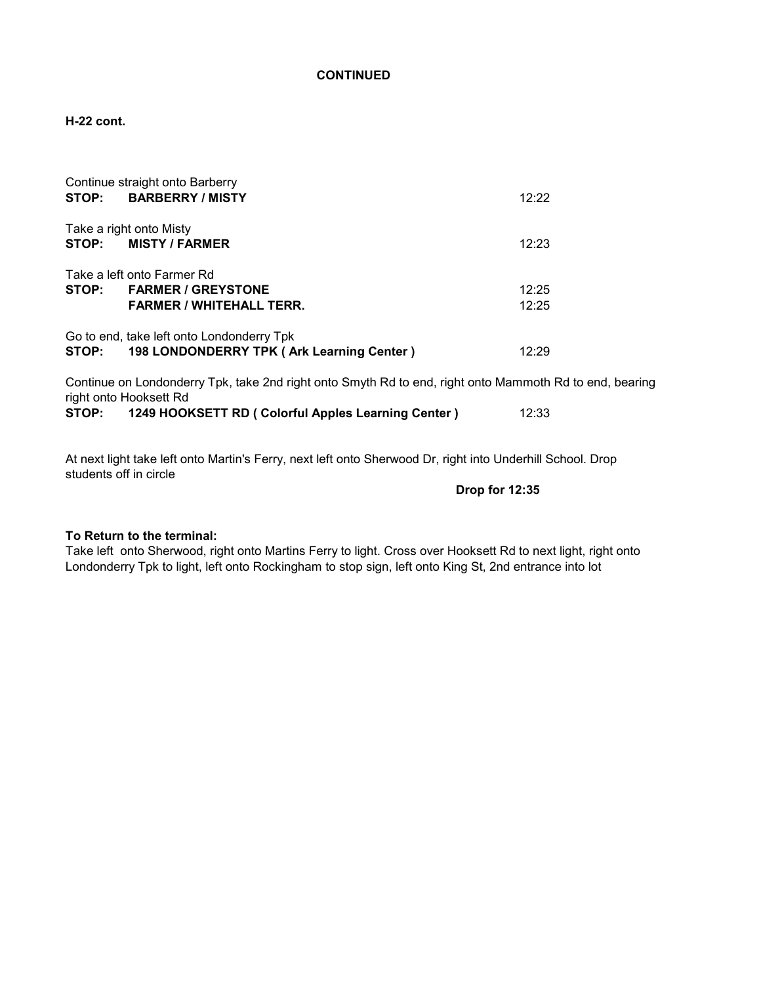**H-22 cont.**

|                            | Continue straight onto Barberry<br>STOP: BARBERRY/MISTY                                | 12:22 |  |  |
|----------------------------|----------------------------------------------------------------------------------------|-------|--|--|
|                            | Take a right onto Misty                                                                |       |  |  |
|                            | STOP: MISTY/FARMER                                                                     | 12:23 |  |  |
| Take a left onto Farmer Rd |                                                                                        |       |  |  |
|                            | STOP: FARMER / GREYSTONE                                                               | 12:25 |  |  |
|                            | <b>FARMER / WHITEHALL TERR.</b>                                                        | 12:25 |  |  |
| STOP:                      | Go to end, take left onto Londonderry Tpk<br>198 LONDONDERRY TPK (Ark Learning Center) | 12.29 |  |  |

Continue on Londonderry Tpk, take 2nd right onto Smyth Rd to end, right onto Mammoth Rd to end, bearing right onto Hooksett Rd<br>STOP: 1249 HOOK **STOP: 1249 HOOKSETT RD ( Colorful Apples Learning Center )** 12:33

At next light take left onto Martin's Ferry, next left onto Sherwood Dr, right into Underhill School. Drop students off in circle

 **Drop for 12:35**

### **To Return to the terminal:**

Take left onto Sherwood, right onto Martins Ferry to light. Cross over Hooksett Rd to next light, right onto Londonderry Tpk to light, left onto Rockingham to stop sign, left onto King St, 2nd entrance into lot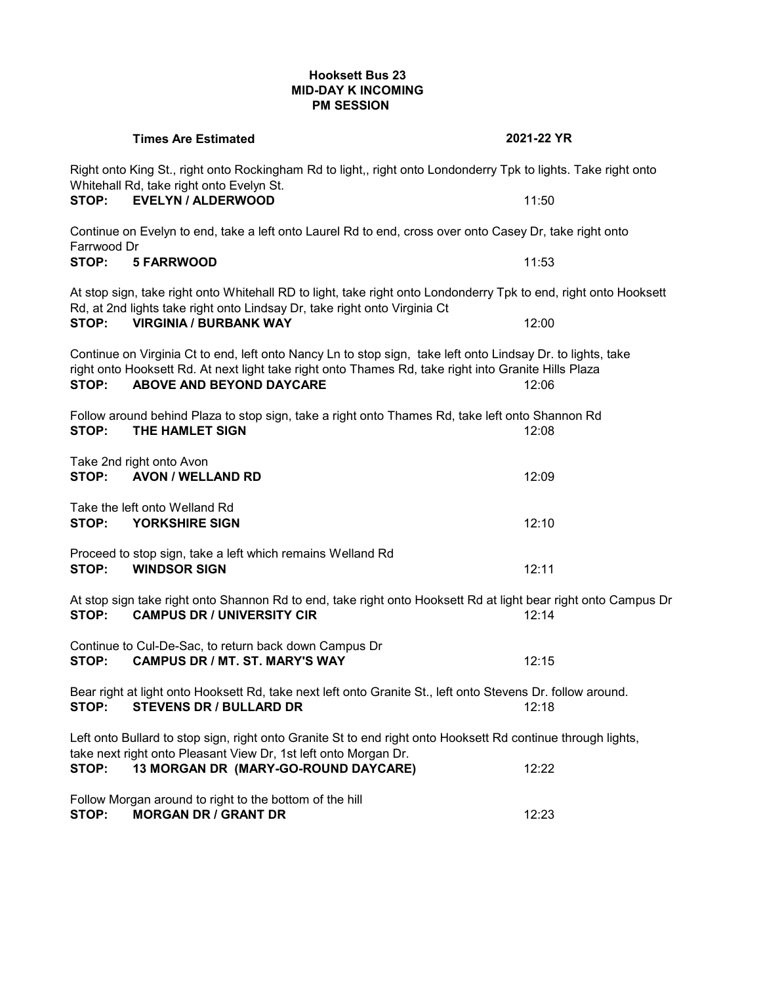# **Hooksett Bus 23 MID-DAY K INCOMING PM SESSION**

|             | <b>Times Are Estimated</b>                                                                                                                                                                                                                                      | 2021-22 YR |  |  |
|-------------|-----------------------------------------------------------------------------------------------------------------------------------------------------------------------------------------------------------------------------------------------------------------|------------|--|--|
|             | Right onto King St., right onto Rockingham Rd to light,, right onto Londonderry Tpk to lights. Take right onto<br>Whitehall Rd, take right onto Evelyn St.                                                                                                      |            |  |  |
| STOP:       | <b>EVELYN / ALDERWOOD</b>                                                                                                                                                                                                                                       | 11:50      |  |  |
| Farrwood Dr | Continue on Evelyn to end, take a left onto Laurel Rd to end, cross over onto Casey Dr, take right onto                                                                                                                                                         |            |  |  |
| STOP:       | <b>5 FARRWOOD</b>                                                                                                                                                                                                                                               | 11:53      |  |  |
|             | At stop sign, take right onto Whitehall RD to light, take right onto Londonderry Tpk to end, right onto Hooksett<br>Rd, at 2nd lights take right onto Lindsay Dr, take right onto Virginia Ct                                                                   |            |  |  |
| STOP:       | <b>VIRGINIA / BURBANK WAY</b>                                                                                                                                                                                                                                   | 12:00      |  |  |
| STOP:       | Continue on Virginia Ct to end, left onto Nancy Ln to stop sign, take left onto Lindsay Dr. to lights, take<br>right onto Hooksett Rd. At next light take right onto Thames Rd, take right into Granite Hills Plaza<br><b>ABOVE AND BEYOND DAYCARE</b><br>12:06 |            |  |  |
| STOP:       | Follow around behind Plaza to stop sign, take a right onto Thames Rd, take left onto Shannon Rd<br>THE HAMLET SIGN                                                                                                                                              | 12:08      |  |  |
|             |                                                                                                                                                                                                                                                                 |            |  |  |
| STOP:       | Take 2nd right onto Avon<br><b>AVON / WELLAND RD</b>                                                                                                                                                                                                            | 12:09      |  |  |
| STOP:       | Take the left onto Welland Rd<br>YORKSHIRE SIGN                                                                                                                                                                                                                 | 12:10      |  |  |
| STOP:       | Proceed to stop sign, take a left which remains Welland Rd<br><b>WINDSOR SIGN</b>                                                                                                                                                                               | 12:11      |  |  |
| STOP:       | At stop sign take right onto Shannon Rd to end, take right onto Hooksett Rd at light bear right onto Campus Dr<br><b>CAMPUS DR / UNIVERSITY CIR</b>                                                                                                             | 12:14      |  |  |
| STOP:       | Continue to Cul-De-Sac, to return back down Campus Dr<br><b>CAMPUS DR / MT. ST. MARY'S WAY</b>                                                                                                                                                                  | 12:15      |  |  |
| STOP:       | Bear right at light onto Hooksett Rd, take next left onto Granite St., left onto Stevens Dr. follow around.<br><b>STEVENS DR / BULLARD DR</b>                                                                                                                   | 12:18      |  |  |
|             | Left onto Bullard to stop sign, right onto Granite St to end right onto Hooksett Rd continue through lights,<br>take next right onto Pleasant View Dr, 1st left onto Morgan Dr.                                                                                 |            |  |  |
| STOP:       | 13 MORGAN DR (MARY-GO-ROUND DAYCARE)                                                                                                                                                                                                                            | 12:22      |  |  |
| STOP:       | Follow Morgan around to right to the bottom of the hill<br><b>MORGAN DR / GRANT DR</b><br>12:23                                                                                                                                                                 |            |  |  |
|             |                                                                                                                                                                                                                                                                 |            |  |  |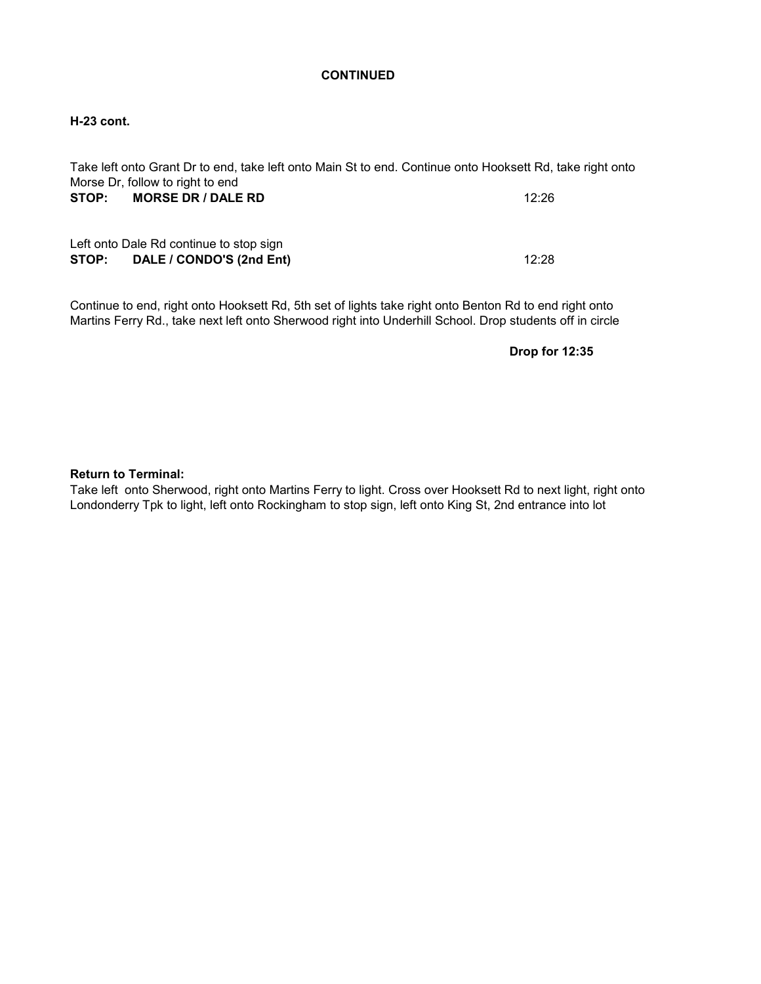## **H-23 cont.**

| Take left onto Grant Dr to end, take left onto Main St to end. Continue onto Hooksett Rd, take right onto |       |
|-----------------------------------------------------------------------------------------------------------|-------|
| Morse Dr, follow to right to end                                                                          |       |
| <b>MORSE DR / DALE RD</b><br>STOP:                                                                        | 12:26 |
| Left onto Dale Rd continue to stop sign<br>STOP: DALE / CONDO'S (2nd Ent)                                 | 12:28 |

Continue to end, right onto Hooksett Rd, 5th set of lights take right onto Benton Rd to end right onto Martins Ferry Rd., take next left onto Sherwood right into Underhill School. Drop students off in circle

**Drop for 12:35**

### **Return to Terminal:**

Take left onto Sherwood, right onto Martins Ferry to light. Cross over Hooksett Rd to next light, right onto Londonderry Tpk to light, left onto Rockingham to stop sign, left onto King St, 2nd entrance into lot